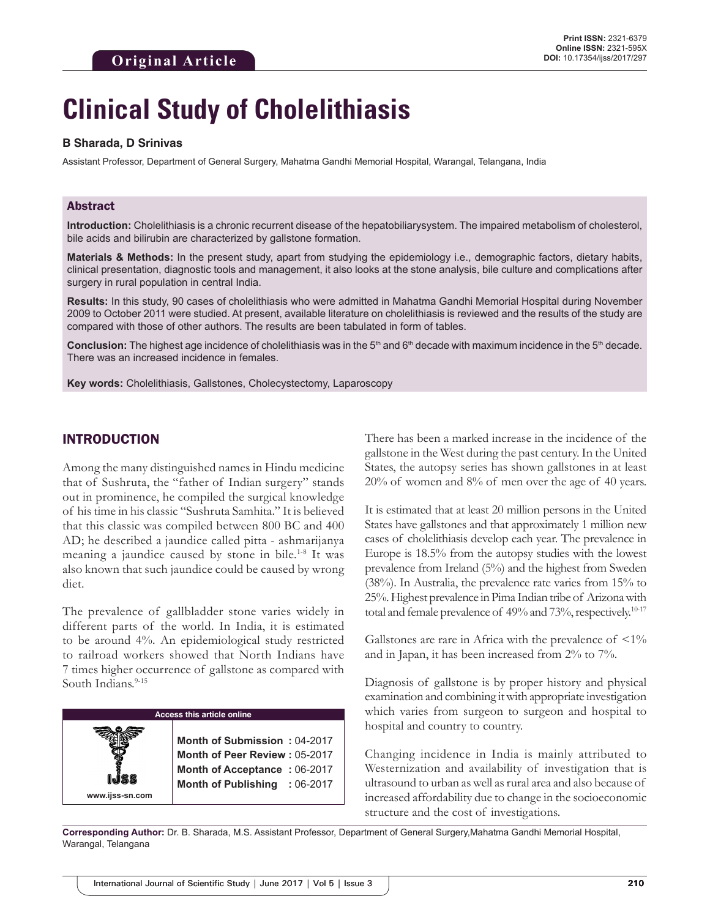# **Clinical Study of Cholelithiasis**

#### **B Sharada, D Srinivas**

Assistant Professor, Department of General Surgery, Mahatma Gandhi Memorial Hospital, Warangal, Telangana, India

## Abstract

**Introduction:** Cholelithiasis is a chronic recurrent disease of the hepatobiliarysystem. The impaired metabolism of cholesterol, bile acids and bilirubin are characterized by gallstone formation.

**Materials & Methods:** In the present study, apart from studying the epidemiology i.e., demographic factors, dietary habits, clinical presentation, diagnostic tools and management, it also looks at the stone analysis, bile culture and complications after surgery in rural population in central India.

**Results:** In this study, 90 cases of cholelithiasis who were admitted in Mahatma Gandhi Memorial Hospital during November 2009 to October 2011 were studied. At present, available literature on cholelithiasis is reviewed and the results of the study are compared with those of other authors. The results are been tabulated in form of tables.

**Conclusion:** The highest age incidence of cholelithiasis was in the 5<sup>th</sup> and 6<sup>th</sup> decade with maximum incidence in the 5<sup>th</sup> decade. There was an increased incidence in females.

**Key words:** Cholelithiasis, Gallstones, Cholecystectomy, Laparoscopy

# INTRODUCTION

**www.ijss-sn.com**

Among the many distinguished names in Hindu medicine that of Sushruta, the "father of Indian surgery" stands out in prominence, he compiled the surgical knowledge of his time in his classic "Sushruta Samhita." It is believed that this classic was compiled between 800 BC and 400 AD; he described a jaundice called pitta - ashmarijanya meaning a jaundice caused by stone in bile.<sup>1-8</sup> It was also known that such jaundice could be caused by wrong diet.

The prevalence of gallbladder stone varies widely in different parts of the world. In India, it is estimated to be around 4%. An epidemiological study restricted to railroad workers showed that North Indians have 7 times higher occurrence of gallstone as compared with South Indians.<sup>9-15</sup>

#### **Access this article online**

**Month of Submission :** 04-2017 **Month of Peer Review :** 05-2017 **Month of Acceptance :** 06-2017 **Month of Publishing :** 06-2017 There has been a marked increase in the incidence of the gallstone in the West during the past century. In the United States, the autopsy series has shown gallstones in at least 20% of women and 8% of men over the age of 40 years.

It is estimated that at least 20 million persons in the United States have gallstones and that approximately 1 million new cases of cholelithiasis develop each year. The prevalence in Europe is 18.5% from the autopsy studies with the lowest prevalence from Ireland (5%) and the highest from Sweden (38%). In Australia, the prevalence rate varies from 15% to 25%. Highest prevalence in Pima Indian tribe of Arizona with total and female prevalence of 49% and 73%, respectively.<sup>10-17</sup>

Gallstones are rare in Africa with the prevalence of  $\langle 1 \rangle$ and in Japan, it has been increased from 2% to 7%.

Diagnosis of gallstone is by proper history and physical examination and combining it with appropriate investigation which varies from surgeon to surgeon and hospital to hospital and country to country.

Changing incidence in India is mainly attributed to Westernization and availability of investigation that is ultrasound to urban as well as rural area and also because of increased affordability due to change in the socioeconomic structure and the cost of investigations.

**Corresponding Author:** Dr. B. Sharada, M.S. Assistant Professor, Department of General Surgery,Mahatma Gandhi Memorial Hospital, Warangal, Telangana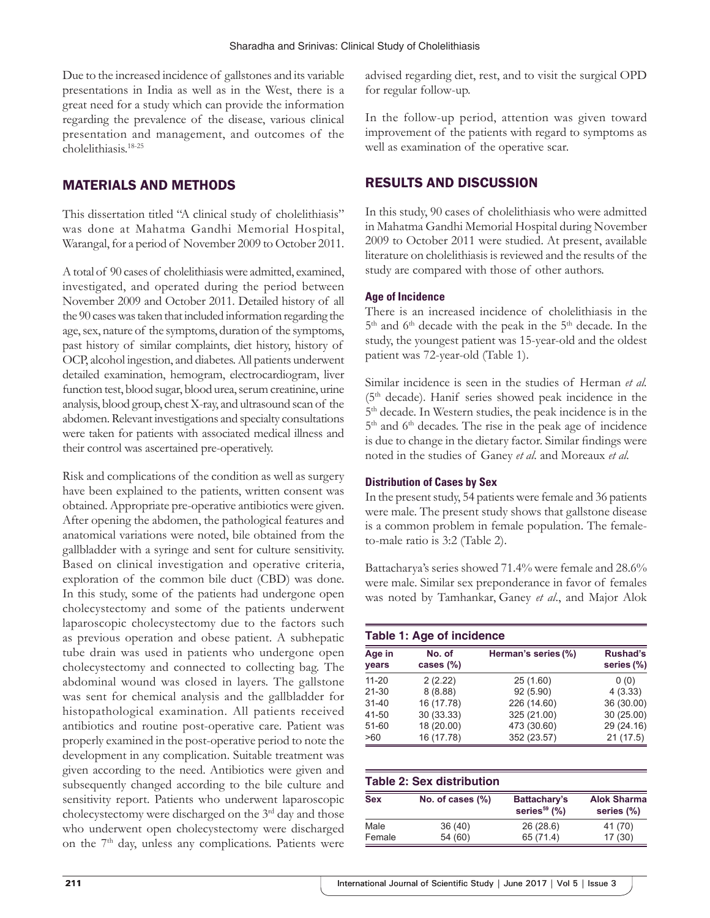Due to the increased incidence of gallstones and its variable presentations in India as well as in the West, there is a great need for a study which can provide the information regarding the prevalence of the disease, various clinical presentation and management, and outcomes of the cholelithiasis.18-25

# MATERIALS AND METHODS

This dissertation titled "A clinical study of cholelithiasis" was done at Mahatma Gandhi Memorial Hospital, Warangal, for a period of November 2009 to October 2011.

A total of 90 cases of cholelithiasis were admitted, examined, investigated, and operated during the period between November 2009 and October 2011. Detailed history of all the 90 cases was taken that included information regarding the age, sex, nature of the symptoms, duration of the symptoms, past history of similar complaints, diet history, history of OCP, alcohol ingestion, and diabetes. All patients underwent detailed examination, hemogram, electrocardiogram, liver function test, blood sugar, blood urea, serum creatinine, urine analysis, blood group, chest X-ray, and ultrasound scan of the abdomen. Relevant investigations and specialty consultations were taken for patients with associated medical illness and their control was ascertained pre-operatively.

Risk and complications of the condition as well as surgery have been explained to the patients, written consent was obtained. Appropriate pre-operative antibiotics were given. After opening the abdomen, the pathological features and anatomical variations were noted, bile obtained from the gallbladder with a syringe and sent for culture sensitivity. Based on clinical investigation and operative criteria, exploration of the common bile duct (CBD) was done. In this study, some of the patients had undergone open cholecystectomy and some of the patients underwent laparoscopic cholecystectomy due to the factors such as previous operation and obese patient. A subhepatic tube drain was used in patients who undergone open cholecystectomy and connected to collecting bag. The abdominal wound was closed in layers. The gallstone was sent for chemical analysis and the gallbladder for histopathological examination. All patients received antibiotics and routine post-operative care. Patient was properly examined in the post-operative period to note the development in any complication. Suitable treatment was given according to the need. Antibiotics were given and subsequently changed according to the bile culture and sensitivity report. Patients who underwent laparoscopic cholecystectomy were discharged on the 3rd day and those who underwent open cholecystectomy were discharged on the 7<sup>th</sup> day, unless any complications. Patients were

advised regarding diet, rest, and to visit the surgical OPD for regular follow-up.

In the follow-up period, attention was given toward improvement of the patients with regard to symptoms as well as examination of the operative scar.

# RESULTS AND DISCUSSION

In this study, 90 cases of cholelithiasis who were admitted in Mahatma Gandhi Memorial Hospital during November 2009 to October 2011 were studied. At present, available literature on cholelithiasis is reviewed and the results of the study are compared with those of other authors.

#### **Age of Incidence**

There is an increased incidence of cholelithiasis in the 5<sup>th</sup> and 6<sup>th</sup> decade with the peak in the 5<sup>th</sup> decade. In the study, the youngest patient was 15-year-old and the oldest patient was 72-year-old (Table 1).

Similar incidence is seen in the studies of Herman *et al.* (5th decade). Hanif series showed peak incidence in the 5th decade. In Western studies, the peak incidence is in the  $5<sup>th</sup>$  and  $6<sup>th</sup>$  decades. The rise in the peak age of incidence is due to change in the dietary factor. Similar findings were noted in the studies of Ganey *et al*. and Moreaux *et al.*

#### **Distribution of Cases by Sex**

In the present study, 54 patients were female and 36 patients were male. The present study shows that gallstone disease is a common problem in female population. The femaleto-male ratio is 3:2 (Table 2).

Battacharya's series showed 71.4% were female and 28.6% were male. Similar sex preponderance in favor of females was noted by Tamhankar, Ganey *et al*., and Major Alok

#### **Table 1: Age of incidence**

| Age in<br>years | No. of<br>cases $(\%)$ | Herman's series (%) | <b>Rushad's</b><br>series (%) |
|-----------------|------------------------|---------------------|-------------------------------|
| $11 - 20$       | 2(2.22)                | 25 (1.60)           | 0(0)                          |
| $21 - 30$       | 8(8.88)                | 92 (5.90)           | 4(3.33)                       |
| $31 - 40$       | 16 (17.78)             | 226 (14.60)         | 36 (30.00)                    |
| 41-50           | 30 (33.33)             | 325 (21.00)         | 30(25.00)                     |
| $51 - 60$       | 18 (20.00)             | 473 (30.60)         | 29 (24.16)                    |
| >60             | 16 (17.78)             | 352 (23.57)         | 21(17.5)                      |

| <b>Table 2: Sex distribution</b> |                  |                                 |                                  |
|----------------------------------|------------------|---------------------------------|----------------------------------|
| <b>Sex</b>                       | No. of cases (%) | Battachary's<br>series $59$ (%) | <b>Alok Sharma</b><br>series (%) |
| Male                             | 36(40)           | 26(28.6)                        | 41 (70)                          |
| Female                           | 54 (60)          | 65 (71.4)                       | 17(30)                           |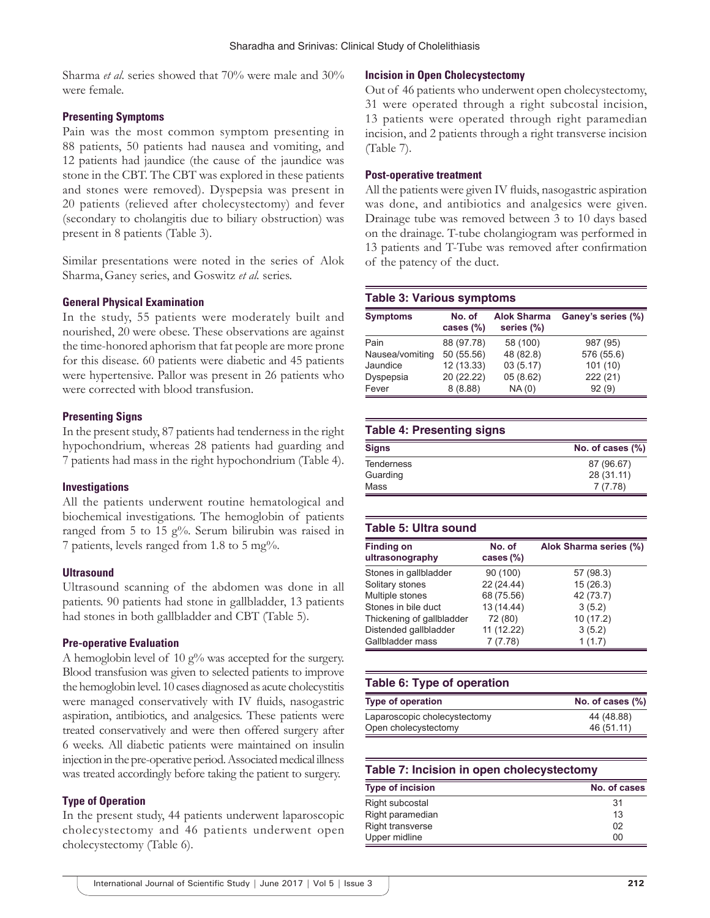Sharma *et al*. series showed that 70% were male and 30% were female.

#### **Presenting Symptoms**

Pain was the most common symptom presenting in 88 patients, 50 patients had nausea and vomiting, and 12 patients had jaundice (the cause of the jaundice was stone in the CBT. The CBT was explored in these patients and stones were removed). Dyspepsia was present in 20 patients (relieved after cholecystectomy) and fever (secondary to cholangitis due to biliary obstruction) was present in 8 patients (Table 3).

Similar presentations were noted in the series of Alok Sharma,Ganey series, and Goswitz *et al.* series.

#### **General Physical Examination**

In the study, 55 patients were moderately built and nourished, 20 were obese. These observations are against the time-honored aphorism that fat people are more prone for this disease. 60 patients were diabetic and 45 patients were hypertensive. Pallor was present in 26 patients who were corrected with blood transfusion.

#### **Presenting Signs**

In the present study, 87 patients had tenderness in the right hypochondrium, whereas 28 patients had guarding and 7 patients had mass in the right hypochondrium (Table 4).

#### **Investigations**

All the patients underwent routine hematological and biochemical investigations. The hemoglobin of patients ranged from 5 to 15 g%. Serum bilirubin was raised in 7 patients, levels ranged from 1.8 to 5 mg%.

#### **Ultrasound**

Ultrasound scanning of the abdomen was done in all patients. 90 patients had stone in gallbladder, 13 patients had stones in both gallbladder and CBT (Table 5).

#### **Pre-operative Evaluation**

A hemoglobin level of 10  $g\%$  was accepted for the surgery. Blood transfusion was given to selected patients to improve the hemoglobin level. 10 cases diagnosed as acute cholecystitis were managed conservatively with IV fluids, nasogastric aspiration, antibiotics, and analgesics. These patients were treated conservatively and were then offered surgery after 6 weeks. All diabetic patients were maintained on insulin injection in the pre-operative period. Associated medical illness was treated accordingly before taking the patient to surgery.

#### **Type of Operation**

In the present study, 44 patients underwent laparoscopic cholecystectomy and 46 patients underwent open cholecystectomy (Table 6).

## **Incision in Open Cholecystectomy**

Out of 46 patients who underwent open cholecystectomy, 31 were operated through a right subcostal incision, 13 patients were operated through right paramedian incision, and 2 patients through a right transverse incision (Table 7).

#### **Post-operative treatment**

All the patients were given IV fluids, nasogastric aspiration was done, and antibiotics and analgesics were given. Drainage tube was removed between 3 to 10 days based on the drainage. T-tube cholangiogram was performed in 13 patients and T-Tube was removed after confirmation of the patency of the duct.

#### **Table 3: Various symptoms**

| <b>Symptoms</b> | No. of<br>cases $(\%)$ | <b>Alok Sharma</b><br>series (%) | Ganey's series (%) |
|-----------------|------------------------|----------------------------------|--------------------|
| Pain            | 88 (97.78)             | 58 (100)                         | 987 (95)           |
| Nausea/vomiting | 50 (55.56)             | 48 (82.8)                        | 576 (55.6)         |
| Jaundice        | 12 (13.33)             | 03(5.17)                         | 101(10)            |
| Dyspepsia       | 20 (22.22)             | 05(8.62)                         | 222 (21)           |
| Fever           | 8(8.88)                | NA(0)                            | 92(9)              |

#### **Table 4: Presenting signs**

| <b>Signs</b>      | No. of cases $(\%)$ |
|-------------------|---------------------|
| <b>Tenderness</b> | 87 (96.67)          |
| Guarding          | 28 (31.11)          |
| Mass              | 7(7.78)             |

#### **Table 5: Ultra sound**

| <b>Finding on</b><br>ultrasonography | No. of<br>cases $(\%)$ | Alok Sharma series (%) |
|--------------------------------------|------------------------|------------------------|
| Stones in gallbladder                | 90 (100)               | 57 (98.3)              |
| Solitary stones                      | 22 (24.44)             | 15(26.3)               |
| Multiple stones                      | 68 (75.56)             | 42 (73.7)              |
| Stones in bile duct                  | 13 (14.44)             | 3(5.2)                 |
| Thickening of gallbladder            | 72 (80)                | 10(17.2)               |
| Distended gallbladder                | 11 (12.22)             | 3(5.2)                 |
| Gallbladder mass                     | 7(7.78)                | 1(1.7)                 |

# **Table 6: Type of operation Type of operation No. of cases (%)** Laparoscopic cholecystectomy 44 (48.88) Open cholecystectomy 46 (51.11)

#### **Table 7: Incision in open cholecystectomy**

| <b>Type of incision</b> | No. of cases |
|-------------------------|--------------|
| Right subcostal         | 31           |
| Right paramedian        | 13           |
| Right transverse        | 02           |
| Upper midline           | 00           |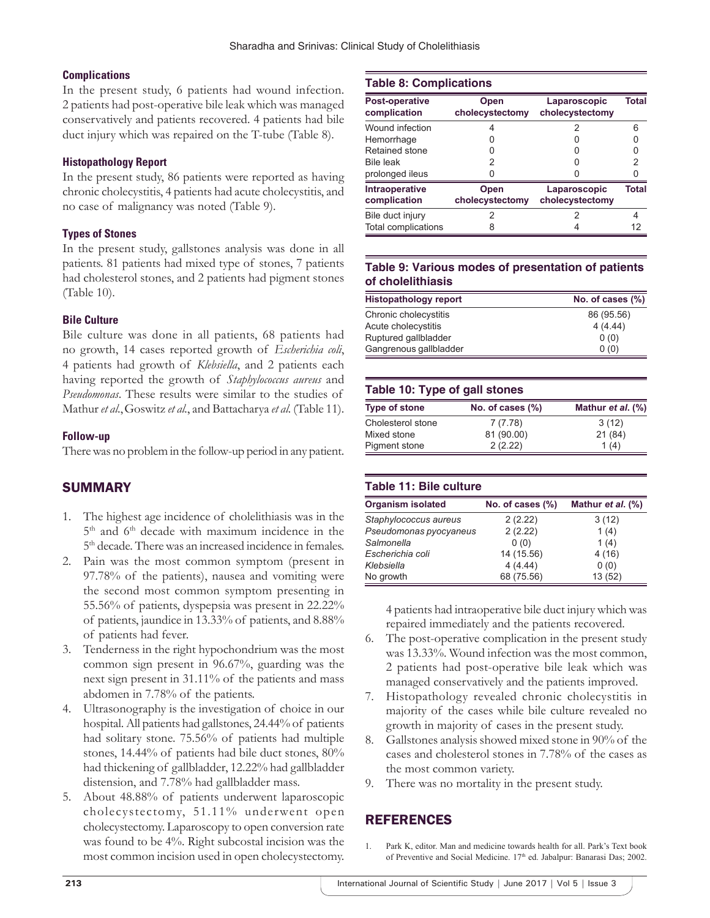# **Complications**

In the present study, 6 patients had wound infection. 2 patients had post-operative bile leak which was managed conservatively and patients recovered. 4 patients had bile duct injury which was repaired on the T-tube (Table 8).

## **Histopathology Report**

In the present study, 86 patients were reported as having chronic cholecystitis, 4 patients had acute cholecystitis, and no case of malignancy was noted (Table 9).

## **Types of Stones**

In the present study, gallstones analysis was done in all patients. 81 patients had mixed type of stones, 7 patients had cholesterol stones, and 2 patients had pigment stones (Table 10).

## **Bile Culture**

Bile culture was done in all patients, 68 patients had no growth, 14 cases reported growth of *Escherichia coli*, 4 patients had growth of *Klebsiella*, and 2 patients each having reported the growth of *Staphylococcus aureus* and *Pseudomonas*. These results were similar to the studies of Mathur *et al*.,Goswitz *et al.*, and Battacharya *et al.* (Table 11).

## **Follow-up**

There was no problem in the follow-up period in any patient.

# SUMMARY

- 1. The highest age incidence of cholelithiasis was in the 5<sup>th</sup> and 6<sup>th</sup> decade with maximum incidence in the 5<sup>th</sup> decade. There was an increased incidence in females.
- 2. Pain was the most common symptom (present in 97.78% of the patients), nausea and vomiting were the second most common symptom presenting in 55.56% of patients, dyspepsia was present in 22.22% of patients, jaundice in 13.33% of patients, and 8.88% of patients had fever.
- 3. Tenderness in the right hypochondrium was the most common sign present in 96.67%, guarding was the next sign present in 31.11% of the patients and mass abdomen in 7.78% of the patients.
- 4. Ultrasonography is the investigation of choice in our hospital. All patients had gallstones, 24.44% of patients had solitary stone. 75.56% of patients had multiple stones, 14.44% of patients had bile duct stones, 80% had thickening of gallbladder, 12.22% had gallbladder distension, and 7.78% had gallbladder mass.
- 5. About 48.88% of patients underwent laparoscopic cholecystectomy, 51.11% underwent open cholecystectomy. Laparoscopy to open conversion rate was found to be 4%. Right subcostal incision was the most common incision used in open cholecystectomy.

#### **Table 8: Complications**

| Post-operative<br>complication | Open<br>cholecystectomy | Laparoscopic<br>cholecystectomy | Total |
|--------------------------------|-------------------------|---------------------------------|-------|
| Wound infection                |                         | 2                               | 6     |
| Hemorrhage                     |                         |                                 |       |
| Retained stone                 |                         |                                 |       |
| <b>Bile leak</b>               | 2                       |                                 | 2     |
| prolonged ileus                |                         |                                 |       |
| Intraoperative<br>complication | Open<br>cholecystectomy | Laparoscopic<br>cholecystectomy | Total |
| Bile duct injury               |                         | 2                               |       |
| <b>Total complications</b>     |                         |                                 | 12    |

## **Table 9: Various modes of presentation of patients of cholelithiasis**

| <b>Histopathology report</b> | No. of cases (%) |
|------------------------------|------------------|
| Chronic cholecystitis        | 86 (95.56)       |
| Acute cholecystitis          | 4(4.44)          |
| Ruptured gallbladder         | 0(0)             |
| Gangrenous gallbladder       | 0(0)             |

## **Table 10: Type of gall stones**

| <b>Type of stone</b> | No. of cases $(\%)$ | Mathur et al. (%) |
|----------------------|---------------------|-------------------|
| Cholesterol stone    | 7(7.78)             | 3(12)             |
| Mixed stone          | 81 (90.00)          | 21(84)            |
| Pigment stone        | 2(2.22)             | 1(4)              |

# **Table 11: Bile culture**

| <b>Organism isolated</b> | No. of cases (%) | Mathur et al. (%) |
|--------------------------|------------------|-------------------|
| Staphylococcus aureus    | 2(2.22)          | 3(12)             |
| Pseudomonas pyocyaneus   | 2(2.22)          | 1(4)              |
| Salmonella               | 0(0)             | 1(4)              |
| Escherichia coli         | 14 (15.56)       | 4(16)             |
| Klebsiella               | 4(4.44)          | 0(0)              |
| No growth                | 68 (75.56)       | 13 (52)           |

4 patients had intraoperative bile duct injury which was repaired immediately and the patients recovered.

- 6. The post-operative complication in the present study was 13.33%. Wound infection was the most common, 2 patients had post-operative bile leak which was managed conservatively and the patients improved.
- 7. Histopathology revealed chronic cholecystitis in majority of the cases while bile culture revealed no growth in majority of cases in the present study.
- 8. Gallstones analysis showed mixed stone in 90% of the cases and cholesterol stones in 7.78% of the cases as the most common variety.
- 9. There was no mortality in the present study.

# REFERENCES

Park K, editor. Man and medicine towards health for all. Park's Text book of Preventive and Social Medicine. 17<sup>th</sup> ed. Jabalpur: Banarasi Das; 2002.